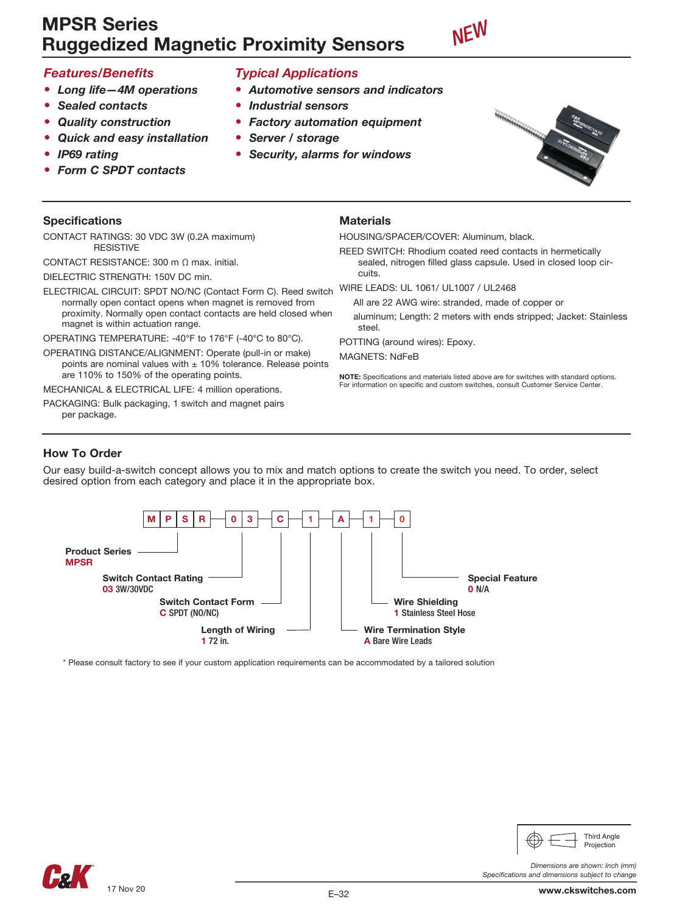# MPSR Series Ruggedized Magnetic Proximity Sensors



# *Features/Benefits*

- *• Long life—4M operations*
- *• Sealed contacts*
- *• Quality construction*
- *• Quick and easy installation*
- *• IP69 rating*
- *• Form C SPDT contacts*

### Specifications

CONTACT RATINGS: 30 VDC 3W (0.2A maximum) RESISTIVE

CONTACT RESISTANCE: 300 m Ω max. initial. DIELECTRIC STRENGTH: 150V DC min.

ELECTRICAL CIRCUIT: SPDT NO/NC (Contact Form C). Reed switch normally open contact opens when magnet is removed from proximity. Normally open contact contacts are held closed when magnet is within actuation range.

OPERATING TEMPERATURE: -40°F to 176°F (-40°C to 80°C).

OPERATING DISTANCE/ALIGNMENT: Operate (pull-in or make) points are nominal values with  $\pm$  10% tolerance. Release points are 110% to 150% of the operating points.

MECHANICAL & ELECTRICAL LIFE: 4 million operations.

PACKAGING: Bulk packaging, 1 switch and magnet pairs per package.

# *Typical Applications*

- *• Automotive sensors and indicators*
	- *• Industrial sensors*
- *• Factory automation equipment*
- *• Server / storage*
- *• Security, alarms for windows*



### **Materials**

HOUSING/SPACER/COVER: Aluminum, black.

REED SWITCH: Rhodium coated reed contacts in hermetically sealed, nitrogen filled glass capsule. Used in closed loop circuits.

WIRE LEADS: UL 1061/ UL1007 / UL2468

All are 22 AWG wire: stranded, made of copper or

aluminum; Length: 2 meters with ends stripped; Jacket: Stainless steel

POTTING (around wires): Epoxy.

MAGNETS: NdFeB

NOTE: Specifications and materials listed above are for switches with standard options. For information on specific and custom switches, consult Customer Service Center.

## How To Order

Our easy build-a-switch concept allows you to mix and match options to create the switch you need. To order, select desired option from each category and place it in the appropriate box.



\* Please consult factory to see if your custom application requirements can be accommodated by a tailored solution



*Dimensions are shown: Inch (mm)*

Third Angle Projection

*Specifications and dimensions subject to change*